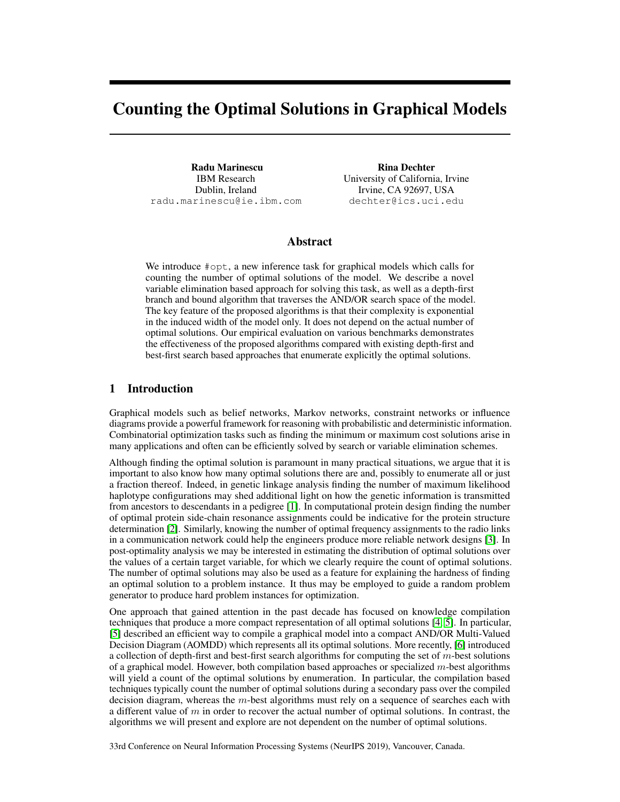# Counting the Optimal Solutions in Graphical Models

Radu Marinescu IBM Research Dublin, Ireland radu.marinescu@ie.ibm.com

Rina Dechter University of California, Irvine Irvine, CA 92697, USA dechter@ics.uci.edu

# Abstract

We introduce #opt, a new inference task for graphical models which calls for counting the number of optimal solutions of the model. We describe a novel variable elimination based approach for solving this task, as well as a depth-first branch and bound algorithm that traverses the AND/OR search space of the model. The key feature of the proposed algorithms is that their complexity is exponential in the induced width of the model only. It does not depend on the actual number of optimal solutions. Our empirical evaluation on various benchmarks demonstrates the effectiveness of the proposed algorithms compared with existing depth-first and best-first search based approaches that enumerate explicitly the optimal solutions.

# 1 Introduction

Graphical models such as belief networks, Markov networks, constraint networks or influence diagrams provide a powerful framework for reasoning with probabilistic and deterministic information. Combinatorial optimization tasks such as finding the minimum or maximum cost solutions arise in many applications and often can be efficiently solved by search or variable elimination schemes.

Although finding the optimal solution is paramount in many practical situations, we argue that it is important to also know how many optimal solutions there are and, possibly to enumerate all or just a fraction thereof. Indeed, in genetic linkage analysis finding the number of maximum likelihood haplotype configurations may shed additional light on how the genetic information is transmitted from ancestors to descendants in a pedigree [1]. In computational protein design finding the number of optimal protein side-chain resonance assignments could be indicative for the protein structure determination [2]. Similarly, knowing the number of optimal frequency assignments to the radio links in a communication network could help the engineers produce more reliable network designs [3]. In post-optimality analysis we may be interested in estimating the distribution of optimal solutions over the values of a certain target variable, for which we clearly require the count of optimal solutions. The number of optimal solutions may also be used as a feature for explaining the hardness of finding an optimal solution to a problem instance. It thus may be employed to guide a random problem generator to produce hard problem instances for optimization.

One approach that gained attention in the past decade has focused on knowledge compilation techniques that produce a more compact representation of all optimal solutions [4, 5]. In particular, [5] described an efficient way to compile a graphical model into a compact AND/OR Multi-Valued Decision Diagram (AOMDD) which represents all its optimal solutions. More recently, [6] introduced a collection of depth-first and best-first search algorithms for computing the set of  $m$ -best solutions of a graphical model. However, both compilation based approaches or specialized m-best algorithms will yield a count of the optimal solutions by enumeration. In particular, the compilation based techniques typically count the number of optimal solutions during a secondary pass over the compiled decision diagram, whereas the  $m$ -best algorithms must rely on a sequence of searches each with a different value of  $m$  in order to recover the actual number of optimal solutions. In contrast, the algorithms we will present and explore are not dependent on the number of optimal solutions.

33rd Conference on Neural Information Processing Systems (NeurIPS 2019), Vancouver, Canada.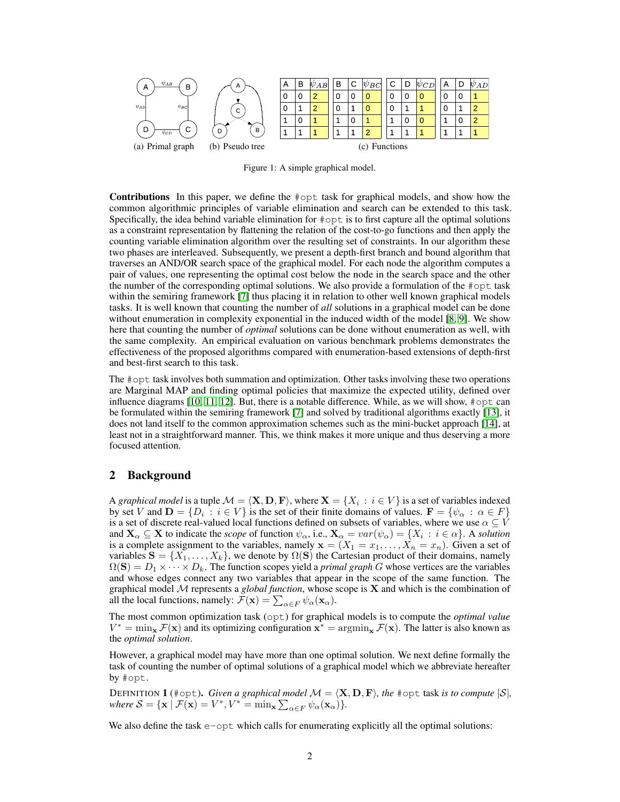

Figure 1: A simple graphical model.

Contributions In this paper, we define the #opt task for graphical models, and show how the common algorithmic principles of variable elimination and search can be extended to this task. Specifically, the idea behind variable elimination for #opt is to first capture all the optimal solutions as a constraint representation by flattening the relation of the cost-to-go functions and then apply the counting variable elimination algorithm over the resulting set of constraints. In our algorithm these two phases are interleaved. Subsequently, we present a depth-first branch and bound algorithm that traverses an AND/OR search space of the graphical model. For each node the algorithm computes a pair of values, one representing the optimal cost below the node in the search space and the other the number of the corresponding optimal solutions. We also provide a formulation of the  $\#\text{opt}$  task within the semiring framework [7] thus placing it in relation to other well known graphical models tasks. It is well known that counting the number of *all* solutions in a graphical model can be done without enumeration in complexity exponential in the induced width of the model [8, 9]. We show here that counting the number of *optimal* solutions can be done without enumeration as well, with the same complexity. An empirical evaluation on various benchmark problems demonstrates the effectiveness of the proposed algorithms compared with enumeration-based extensions of depth-first and best-first search to this task.

The #opt task involves both summation and optimization. Other tasks involving these two operations are Marginal MAP and finding optimal policies that maximize the expected utility, defined over influence diagrams  $[10, 11, 12]$ . But, there is a notable difference. While, as we will show,  $\#$ opt can be formulated within the semiring framework [7] and solved by traditional algorithms exactly [13], it does not land itself to the common approximation schemes such as the mini-bucket approach [14], at least not in a straightforward manner. This, we think makes it more unique and thus deserving a more focused attention.

### 2 Background

A *graphical model* is a tuple  $\mathcal{M} = \langle \mathbf{X}, \mathbf{D}, \mathbf{F} \rangle$ , where  $\mathbf{X} = \{X_i : i \in V\}$  is a set of variables indexed by set V and  $\mathbf{D} = \{D_i : i \in V\}$  is the set of their finite domains of values.  $\mathbf{F} = \{\psi_\alpha : \alpha \in F\}$ is a set of discrete real-valued local functions defined on subsets of variables, where we use  $\alpha \subseteq V$ and  $\mathbf{X}_{\alpha} \subseteq \mathbf{X}$  to indicate the *scope* of function  $\psi_{\alpha}$ , i.e.,  $\mathbf{X}_{\alpha} = var(\psi_{\alpha}) = \{X_i : i \in \alpha\}$ . A *solution* is a complete assignment to the variables, namely  $\mathbf{x} = (X_1 = x_1, \dots, X_n = x_n)$ . Given a set of variables  $S = \{X_1, \ldots, X_k\}$ , we denote by  $\Omega(S)$  the Cartesian product of their domains, namely  $\Omega(S) = D_1 \times \cdots \times D_k$ . The function scopes yield a *primal graph G* whose vertices are the variables and whose edges connect any two variables that appear in the scope of the same function. The graphical model M represents a *global function*, whose scope is X and which is the combination of all the local functions, namely:  $\mathcal{F}(\mathbf{x}) = \sum_{\alpha \in F} \psi_{\alpha}(\mathbf{x}_{\alpha}).$ 

The most common optimization task (opt) for graphical models is to compute the *optimal value*  $V^* = \min_{\mathbf{x}} \mathcal{F}(\mathbf{x})$  and its optimizing configuration  $\mathbf{x}^* = \arg\min_{\mathbf{x}} \mathcal{F}(\mathbf{x})$ . The latter is also known as the *optimal solution*.

However, a graphical model may have more than one optimal solution. We next define formally the task of counting the number of optimal solutions of a graphical model which we abbreviate hereafter by #opt.

DEFINITION **1** (#opt). *Given a graphical model*  $\mathcal{M} = \langle \mathbf{X}, \mathbf{D}, \mathbf{F} \rangle$ *, the* #opt task *is to compute*  $|\mathcal{S}|$ *,* where  $S = {\mathbf{x} | \mathcal{F}(\mathbf{x}) = V^* , V^* = \min_{\mathbf{x}} \sum_{\alpha \in F} \psi_{\alpha}(\mathbf{x}_{\alpha})}.$ 

We also define the task  $e$ -opt which calls for enumerating explicitly all the optimal solutions: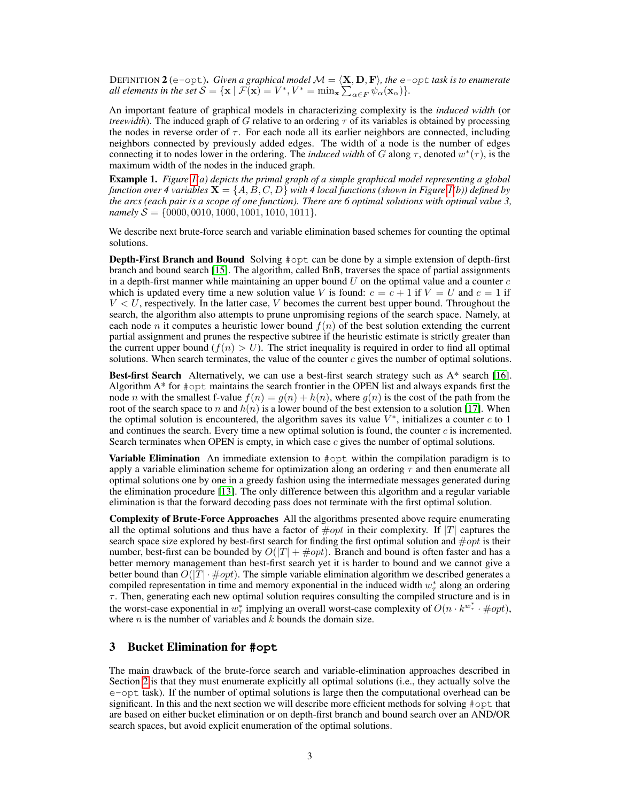DEFINITION  $2$  (e-opt). *Given a graphical model*  $\mathcal{M} = \langle \mathbf{X}, \mathbf{D}, \mathbf{F} \rangle$ *, the* e-opt *task is to enumerate all elements in the set*  $S = {\mathbf{x} \mid \mathcal{F}(\mathbf{x}) = V^*, V^* = \min_{\mathbf{x}} \sum_{\alpha \in F} \psi_\alpha(\mathbf{x}_\alpha)}$ .

An important feature of graphical models in characterizing complexity is the *induced width* (or *treewidth*). The induced graph of G relative to an ordering  $\tau$  of its variables is obtained by processing the nodes in reverse order of  $\tau$ . For each node all its earlier neighbors are connected, including neighbors connected by previously added edges. The width of a node is the number of edges connecting it to nodes lower in the ordering. The *induced width* of G along  $\tau$ , denoted  $w^*(\tau)$ , is the maximum width of the nodes in the induced graph.

Example 1. *Figure 1(a) depicts the primal graph of a simple graphical model representing a global function over 4 variables*  $X = \{A, B, C, D\}$  *with 4 local functions (shown in Figure 1(b)) defined by the arcs (each pair is a scope of one function). There are 6 optimal solutions with optimal value 3, namely*  $S = \{0000, 0010, 1000, 1001, 1010, 1011\}.$ 

We describe next brute-force search and variable elimination based schemes for counting the optimal solutions.

Depth-First Branch and Bound Solving #opt can be done by a simple extension of depth-first branch and bound search [15]. The algorithm, called BnB, traverses the space of partial assignments in a depth-first manner while maintaining an upper bound  $U$  on the optimal value and a counter  $c$ which is updated every time a new solution value V is found:  $c = c + 1$  if  $V = U$  and  $c = 1$  if  $V < U$ , respectively. In the latter case, V becomes the current best upper bound. Throughout the search, the algorithm also attempts to prune unpromising regions of the search space. Namely, at each node n it computes a heuristic lower bound  $f(n)$  of the best solution extending the current partial assignment and prunes the respective subtree if the heuristic estimate is strictly greater than the current upper bound  $(f(n) > U)$ . The strict inequality is required in order to find all optimal solutions. When search terminates, the value of the counter  $c$  gives the number of optimal solutions.

**Best-first Search** Alternatively, we can use a best-first search strategy such as  $A^*$  search [16]. Algorithm A\* for #opt maintains the search frontier in the OPEN list and always expands first the node *n* with the smallest f-value  $f(n) = g(n) + h(n)$ , where  $g(n)$  is the cost of the path from the root of the search space to n and  $h(n)$  is a lower bound of the best extension to a solution [17]. When the optimal solution is encountered, the algorithm saves its value  $V^*$ , initializes a counter  $c$  to 1 and continues the search. Every time a new optimal solution is found, the counter  $c$  is incremented. Search terminates when OPEN is empty, in which case  $c$  gives the number of optimal solutions.

**Variable Elimination** An immediate extension to  $\#$ opt within the compilation paradigm is to apply a variable elimination scheme for optimization along an ordering  $\tau$  and then enumerate all optimal solutions one by one in a greedy fashion using the intermediate messages generated during the elimination procedure [13]. The only difference between this algorithm and a regular variable elimination is that the forward decoding pass does not terminate with the first optimal solution.

Complexity of Brute-Force Approaches All the algorithms presented above require enumerating all the optimal solutions and thus have a factor of  $\# opt$  in their complexity. If |T| captures the search space size explored by best-first search for finding the first optimal solution and  $#opt$  is their number, best-first can be bounded by  $O(|T| + \# opt)$ . Branch and bound is often faster and has a better memory management than best-first search yet it is harder to bound and we cannot give a better bound than  $O(|T| \cdot \text{\#} opt)$ . The simple variable elimination algorithm we described generates a compiled representation in time and memory exponential in the induced width  $w^*$  along an ordering  $\tau$ . Then, generating each new optimal solution requires consulting the compiled structure and is in the worst-case exponential in  $w^*_{\tau}$  implying an overall worst-case complexity of  $O(n \cdot k^{w^*_{\tau}} \cdot \# opt)$ , where  $n$  is the number of variables and  $k$  bounds the domain size.

## 3 Bucket Elimination for **#opt**

The main drawback of the brute-force search and variable-elimination approaches described in Section 2 is that they must enumerate explicitly all optimal solutions (i.e., they actually solve the e-opt task). If the number of optimal solutions is large then the computational overhead can be significant. In this and the next section we will describe more efficient methods for solving #opt that are based on either bucket elimination or on depth-first branch and bound search over an AND/OR search spaces, but avoid explicit enumeration of the optimal solutions.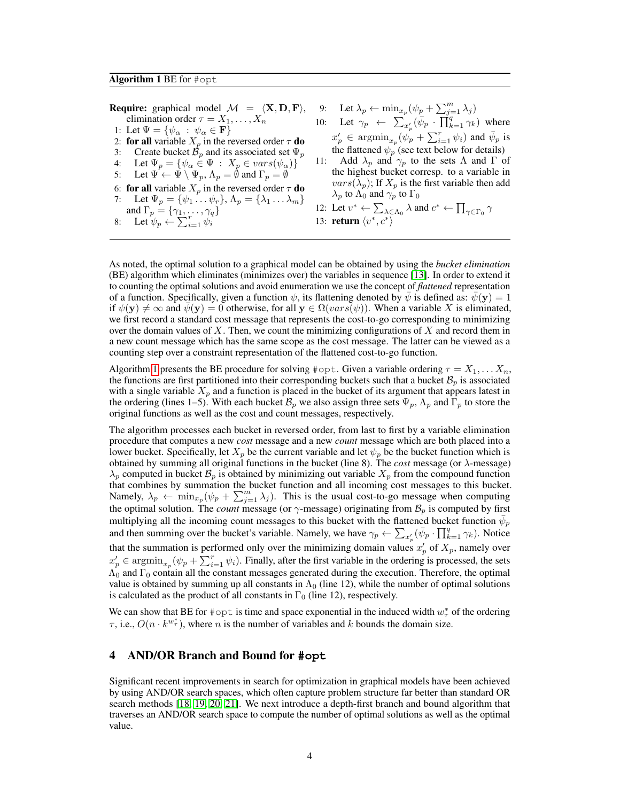**Require:** graphical model  $\mathcal{M} = \langle \mathbf{X}, \mathbf{D}, \mathbf{F} \rangle$ , elimination order  $\tau = X_1, \ldots, X_n$ 1: Let  $\Psi = {\psi_{\alpha} : \psi_{\alpha} \in \mathbf{F}}$ 2: for all variable  $X_p$  in the reversed order  $\tau$  do 3: Create bucket  $\mathcal{B}_p$  and its associated set  $\Psi_p$ 4: Let  $\Psi_p = \{ \psi_\alpha \in \Psi : X_p \in vars(\psi_\alpha) \}$ 5: Let  $\Psi \leftarrow \Psi \setminus \Psi_p$ ,  $\Lambda_p = \emptyset$  and  $\Gamma_p = \emptyset$ 6: for all variable  $X_p$  in the reversed order  $\tau$  do Let  $\Psi_p = {\psi_1 \dots \psi_r}, \Lambda_p = {\lambda_1 \dots \lambda_m}$ and  $\Gamma_p = \{\gamma_1, \ldots, \gamma_q\}$ 

8: Let  $\psi_p \leftarrow \sum_{i=1}^r \psi_i$ 

- 9: Let  $\lambda_p \leftarrow \min_{x_p} (\psi_p + \sum_{j=1}^m \lambda_j)$ 10: Let  $\gamma_p \leftarrow \sum_{x'_p} (\bar{\psi}_p \cdot \prod_{k=1}^q \gamma_k)$  where  $x'_p \in \operatorname{argmin}_{x_p} (\psi_p^{\dagger} + \sum_{i=1}^r \psi_i)$  and  $\bar{\psi}_p$  is the flattened  $\psi_p$  (see text below for details)<br>11: Add  $\lambda_p$  and  $\gamma_p$  to the sets  $\Lambda$  and  $\Gamma$  of
- Add  $\lambda_p$  and  $\gamma_p$  to the sets  $\Lambda$  and  $\Gamma$  of the highest bucket corresp. to a variable in  $vars(\lambda_p)$ ; If  $X_p$  is the first variable then add  $\lambda_p$  to  $\Lambda_0$  and  $\gamma_p$  to  $\Gamma_0$
- 12: Let  $v^* \leftarrow \sum_{\lambda \in \Lambda_0} \lambda$  and  $c^* \leftarrow \prod_{\gamma \in \Gamma_0} \gamma$ 13: **return**  $\langle v^*, c^* \rangle$

As noted, the optimal solution to a graphical model can be obtained by using the *bucket elimination* (BE) algorithm which eliminates (minimizes over) the variables in sequence [13]. In order to extend it to counting the optimal solutions and avoid enumeration we use the concept of *flattened* representation of a function. Specifically, given a function  $\psi$ , its flattening denoted by  $\psi$  is defined as:  $\psi(\mathbf{y}) = 1$ if  $\psi(\mathbf{y}) \neq \infty$  and  $\psi(\mathbf{y}) = 0$  otherwise, for all  $\mathbf{y} \in \Omega(vars(\psi))$ . When a variable X is eliminated, we first record a standard cost message that represents the cost-to-go corresponding to minimizing over the domain values of X. Then, we count the minimizing configurations of X and record them in a new count message which has the same scope as the cost message. The latter can be viewed as a counting step over a constraint representation of the flattened cost-to-go function.

Algorithm 1 presents the BE procedure for solving #opt. Given a variable ordering  $\tau = X_1, \ldots, X_n$ , the functions are first partitioned into their corresponding buckets such that a bucket  $B_p$  is associated with a single variable  $X_p$  and a function is placed in the bucket of its argument that appears latest in the ordering (lines 1–5). With each bucket  $\mathcal{B}_p$  we also assign three sets  $\Psi_p$ ,  $\Lambda_p$  and  $\Gamma_p$  to store the original functions as well as the cost and count messages, respectively.

The algorithm processes each bucket in reversed order, from last to first by a variable elimination procedure that computes a new *cost* message and a new *count* message which are both placed into a lower bucket. Specifically, let  $X_p$  be the current variable and let  $\psi_p$  be the bucket function which is obtained by summing all original functions in the bucket (line 8). The *cost* message (or  $\lambda$ -message)  $\lambda_p$  computed in bucket  $\mathcal{B}_p$  is obtained by minimizing out variable  $X_p$  from the compound function that combines by summation the bucket function and all incoming cost messages to this bucket. Namely,  $\lambda_p \leftarrow \min_{x_p} (\psi_p + \sum_{j=1}^m \lambda_j)$ . This is the usual cost-to-go message when computing the optimal solution. The *count* message (or  $\gamma$ -message) originating from  $\mathcal{B}_p$  is computed by first multiplying all the incoming count messages to this bucket with the flattened bucket function  $\bar{\psi}_p$ and then summing over the bucket's variable. Namely, we have  $\gamma_p \leftarrow \sum_{x_p'} (\bar{\psi}_p \cdot \prod_{k=1}^q \gamma_k)$ . Notice that the summation is performed only over the minimizing domain values  $x_p'$  of  $X_p$ , namely over  $x'_p \in \operatorname{argmin}_{x_p} (\psi_p + \sum_{i=1}^r \psi_i)$ . Finally, after the first variable in the ordering is processed, the sets  $\Lambda_0$  and  $\Gamma_0$  contain all the constant messages generated during the execution. Therefore, the optimal value is obtained by summing up all constants in  $\Lambda_0$  (line 12), while the number of optimal solutions is calculated as the product of all constants in  $\Gamma_0$  (line 12), respectively.

We can show that BE for #opt is time and space exponential in the induced width  $w^*$  of the ordering  $\tau$ , i.e.,  $O(n \cdot k^{w_{\tau}^{*}})$ , where *n* is the number of variables and *k* bounds the domain size.

## 4 AND/OR Branch and Bound for **#opt**

Significant recent improvements in search for optimization in graphical models have been achieved by using AND/OR search spaces, which often capture problem structure far better than standard OR search methods [18, 19, 20, 21]. We next introduce a depth-first branch and bound algorithm that traverses an AND/OR search space to compute the number of optimal solutions as well as the optimal value.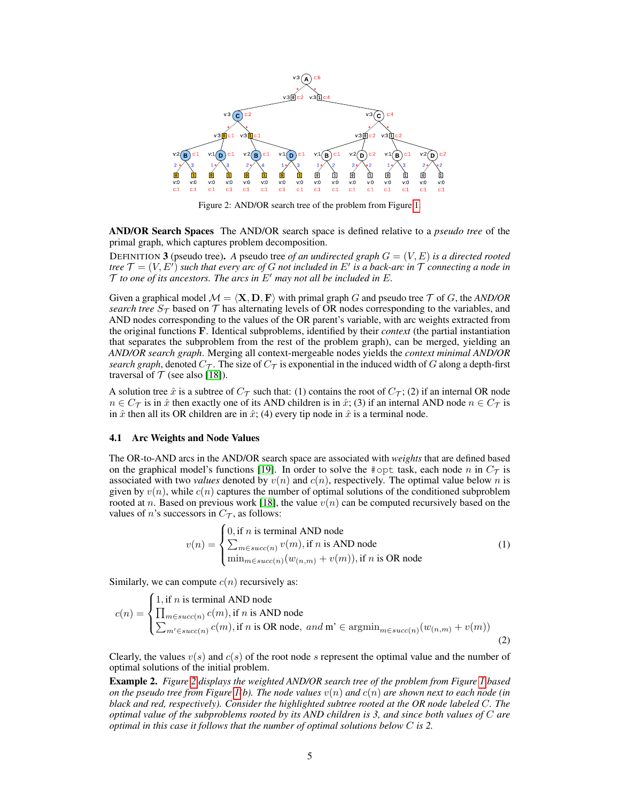

Figure 2: AND/OR search tree of the problem from Figure 1.

AND/OR Search Spaces The AND/OR search space is defined relative to a *pseudo tree* of the primal graph, which captures problem decomposition.

DEFINITION 3 (pseudo tree). A pseudo tree *of an undirected graph*  $G = (V, E)$  *is a directed rooted tree*  $\mathcal{T} = (V, E^t)$  such that every arc of  $G$  not included in  $E^t$  is a back-arc in  $\mathcal T$  connecting a node in  $\mathcal T$  *to one of its ancestors. The arcs in*  $E'$  *may not all be included in*  $E$ *.* 

Given a graphical model  $M = \langle \mathbf{X}, \mathbf{D}, \mathbf{F} \rangle$  with primal graph G and pseudo tree T of G, the *AND/OR search tree*  $S_T$  based on  $T$  has alternating levels of OR nodes corresponding to the variables, and AND nodes corresponding to the values of the OR parent's variable, with arc weights extracted from the original functions F. Identical subproblems, identified by their *context* (the partial instantiation that separates the subproblem from the rest of the problem graph), can be merged, yielding an *AND/OR search graph*. Merging all context-mergeable nodes yields the *context minimal AND/OR search graph*, denoted  $C_{\mathcal{T}}$ . The size of  $C_{\mathcal{T}}$  is exponential in the induced width of G along a depth-first traversal of  $T$  (see also [18]).

A solution tree  $\hat{x}$  is a subtree of  $C_{\mathcal{T}}$  such that: (1) contains the root of  $C_{\mathcal{T}}$ ; (2) if an internal OR node  $n \in C_{\mathcal{T}}$  is in  $\hat{x}$  then exactly one of its AND children is in  $\hat{x}$ ; (3) if an internal AND node  $n \in C_{\mathcal{T}}$  is in  $\hat{x}$  then all its OR children are in  $\hat{x}$ ; (4) every tip node in  $\hat{x}$  is a terminal node.

#### 4.1 Arc Weights and Node Values

The OR-to-AND arcs in the AND/OR search space are associated with *weights* that are defined based on the graphical model's functions [19]. In order to solve the #opt task, each node n in  $C_{\mathcal{T}}$  is associated with two *values* denoted by  $v(n)$  and  $c(n)$ , respectively. The optimal value below n is given by  $v(n)$ , while  $c(n)$  captures the number of optimal solutions of the conditioned subproblem rooted at n. Based on previous work [18], the value  $v(n)$  can be computed recursively based on the values of *n*'s successors in  $C_{\mathcal{T}}$ , as follows:

$$
v(n) = \begin{cases} 0, \text{if } n \text{ is terminal AND node} \\ \sum_{m \in succ(n)} v(m), \text{if } n \text{ is AND node} \\ \min_{m \in succ(n)} (w_{(n,m)} + v(m)), \text{if } n \text{ is OR node} \end{cases}
$$
(1)

Similarly, we can compute  $c(n)$  recursively as:

$$
c(n) = \begin{cases} 1, \text{if } n \text{ is terminal AND node} \\ \prod_{m \in succ(n)} c(m), \text{if } n \text{ is AND node} \\ \sum_{m' \in succ(n)} c(m), \text{if } n \text{ is OR node}, \text{ and } m' \in \text{argmin}_{m \in succ(n)} (w_{(n,m)} + v(m)) \end{cases}
$$
(2)

Clearly, the values  $v(s)$  and  $c(s)$  of the root node s represent the optimal value and the number of optimal solutions of the initial problem.

Example 2. *Figure 2 displays the weighted AND/OR search tree of the problem from Figure 1 based on the pseudo tree from Figure*  $I(b)$ . The node values  $v(n)$  and  $c(n)$  are shown next to each node (in *black and red, respectively). Consider the highlighted subtree rooted at the OR node labeled* C*. The optimal value of the subproblems rooted by its AND children is 3, and since both values of* C *are optimal in this case it follows that the number of optimal solutions below* C *is 2.*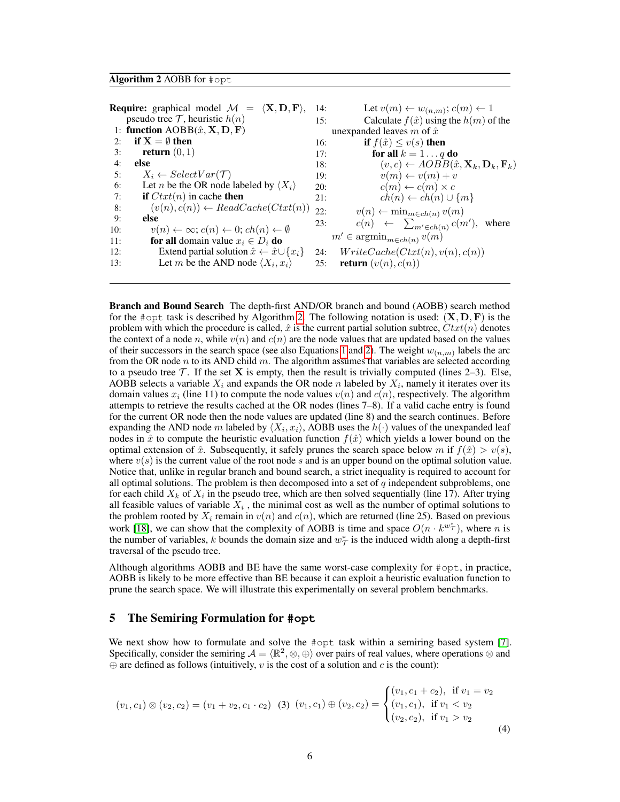#### Algorithm 2 AOBB for #opt

**Require:** graphical model  $\mathcal{M} = \langle \mathbf{X}, \mathbf{D}, \mathbf{F} \rangle$ , 14: pseudo tree  $\mathcal T$ , heuristic  $h(n)$ 1: function  $AOBB(\hat{x}, \mathbf{X}, \mathbf{D}, \mathbf{F})$ 2: if  $X = \emptyset$  then 3: **return**  $(0, 1)$ 4: else 5:  $X_i \leftarrow SelectVar(\mathcal{T})$ 6: Let *n* be the OR node labeled by  $\langle X_i \rangle$ 7: if  $Ctxt(n)$  in cache then 8:  $(v(n), c(n)) \leftarrow ReadCache(Ctxt(n))$ 9: else 10:  $v(n) \leftarrow \infty$ ;  $c(n) \leftarrow 0$ ;  $ch(n) \leftarrow \emptyset$ 11: **for all** domain value  $x_i \in D_i$  **do**<br>12: Extend partial solution  $\hat{x} \leftarrow \hat{x} \cup$ 12: Extend partial solution  $\hat{x} \leftarrow \hat{x} \cup \{x_i\}$ <br>13: Let *m* be the AND node  $\langle X_i, x_i \rangle$ 13: Let *m* be the AND node  $\langle X_i, x_i \rangle$ 14: Let  $v(m) \leftarrow w_{(n,m)}$ ;  $c(m) \leftarrow 1$ 15: Calculate  $f(\hat{x})$  using the  $h(m)$  of the unexpanded leaves m of  $\hat{x}$ 16: **if**  $f(\hat{x}) \le v(s)$  then 17: **for all**  $k = 1 \ldots q$  **do** 18:  $(v, c) \leftarrow AOBB(\hat{x}, \mathbf{X}_k, \mathbf{D}_k, \mathbf{F}_k)$ 19:  $v(m) \leftarrow v(m) + v$ 20:  $c(m) \leftarrow c(m) \times c$ 21:  $ch(n) \leftarrow ch(n) \cup \{m\}$ 22:  $v(n) \leftarrow \min_{m \in ch(n)} v(m)$ 23:  $c(n) \leftarrow \sum_{m' \in ch(n)} c(m'), \text{ where}$  $m' \in \operatorname{argmin}_{m \in ch(n)} v(m)$ 24:  $WriteCache(Ctxt(n), v(n), c(n))$ 25: **return**  $(v(n), c(n))$ 

Branch and Bound Search The depth-first AND/OR branch and bound (AOBB) search method for the #opt task is described by Algorithm 2. The following notation is used:  $(X, D, F)$  is the problem with which the procedure is called,  $\hat{x}$  is the current partial solution subtree,  $Ctxt(n)$  denotes the context of a node n, while  $v(n)$  and  $c(n)$  are the node values that are updated based on the values of their successors in the search space (see also Equations 1 and 2). The weight  $w_{(n,m)}$  labels the arc from the OR node  $n$  to its AND child  $m$ . The algorithm assumes that variables are selected according to a pseudo tree  $T$ . If the set **X** is empty, then the result is trivially computed (lines 2–3). Else, AOBB selects a variable  $X_i$  and expands the OR node n labeled by  $X_i$ , namely it iterates over its domain values  $x_i$  (line 11) to compute the node values  $v(n)$  and  $c(n)$ , respectively. The algorithm attempts to retrieve the results cached at the OR nodes (lines 7–8). If a valid cache entry is found for the current OR node then the node values are updated (line 8) and the search continues. Before expanding the AND node m labeled by  $\langle X_i, x_i \rangle$ , AOBB uses the  $h(\cdot)$  values of the unexpanded leaf nodes in  $\hat{x}$  to compute the heuristic evaluation function  $f(\hat{x})$  which yields a lower bound on the optimal extension of  $\hat{x}$ . Subsequently, it safely prunes the search space below m if  $f(\hat{x}) > v(s)$ , where  $v(s)$  is the current value of the root node s and is an upper bound on the optimal solution value. Notice that, unlike in regular branch and bound search, a strict inequality is required to account for all optimal solutions. The problem is then decomposed into a set of  $q$  independent subproblems, one for each child  $X_k$  of  $X_i$  in the pseudo tree, which are then solved sequentially (line 17). After trying all feasible values of variable  $X_i$ , the minimal cost as well as the number of optimal solutions to the problem rooted by  $X_i$  remain in  $v(n)$  and  $c(n)$ , which are returned (line 25). Based on previous work [18], we can show that the complexity of AOBB is time and space  $O(n \cdot k^{w^*})$ , where *n* is the number of variables, k bounds the domain size and  $w^*$  is the induced width along a depth-first traversal of the pseudo tree.

Although algorithms AOBB and BE have the same worst-case complexity for #opt, in practice, AOBB is likely to be more effective than BE because it can exploit a heuristic evaluation function to prune the search space. We will illustrate this experimentally on several problem benchmarks.

## 5 The Semiring Formulation for **#opt**

We next show how to formulate and solve the #opt task within a semiring based system [7]. Specifically, consider the semiring  $A = \langle \mathbb{R}^2, \otimes, \oplus \rangle$  over pairs of real values, where operations  $\otimes$  and  $\oplus$  are defined as follows (intuitively, v is the cost of a solution and c is the count):

$$
(v_1, c_1) \otimes (v_2, c_2) = (v_1 + v_2, c_1 \cdot c_2) \quad (3) \ (v_1, c_1) \oplus (v_2, c_2) = \begin{cases} (v_1, c_1 + c_2), & \text{if } v_1 = v_2 \\ (v_1, c_1), & \text{if } v_1 < v_2 \\ (v_2, c_2), & \text{if } v_1 > v_2 \end{cases} \tag{4}
$$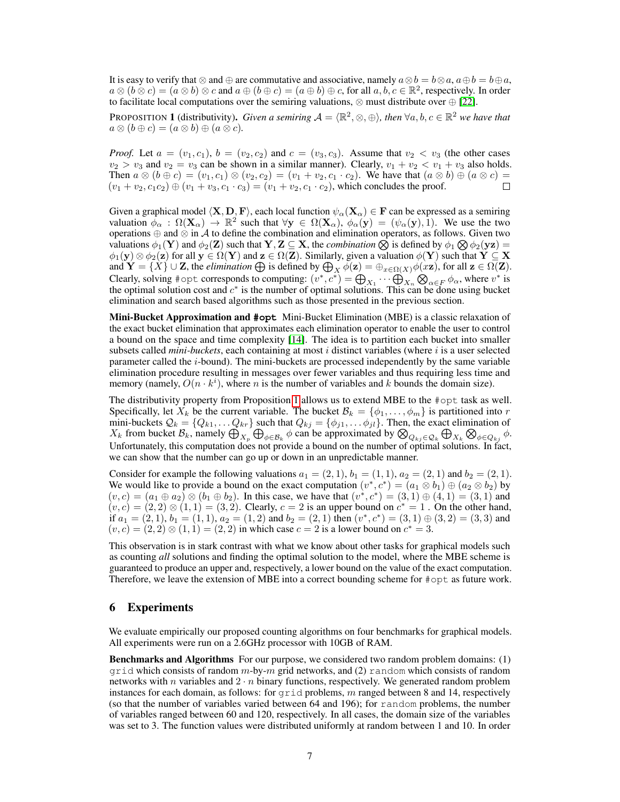It is easy to verify that ⊗ and ⊕ are commutative and associative, namely  $a \otimes b = b \otimes a$ ,  $a \oplus b = b \oplus a$ ,  $a \otimes (b \otimes c) = (a \otimes b) \otimes c$  and  $a \oplus (b \oplus c) = (a \oplus b) \oplus c$ , for all  $a, b, c \in \mathbb{R}^2$ , respectively. In order to facilitate local computations over the semiring valuations,  $\otimes$  must distribute over  $\oplus$  [22].

PROPOSITION **1** (distributivity). *Given a semiring*  $\mathcal{A} = \langle \mathbb{R}^2, \otimes, \oplus \rangle$ , then  $\forall a, b, c \in \mathbb{R}^2$  we have that  $a \otimes (b \oplus c) = (a \otimes b) \oplus (a \otimes c).$ 

*Proof.* Let  $a = (v_1, c_1)$ ,  $b = (v_2, c_2)$  and  $c = (v_3, c_3)$ . Assume that  $v_2 < v_3$  (the other cases  $v_2 > v_3$  and  $v_2 = v_3$  can be shown in a similar manner). Clearly,  $v_1 + v_2 < v_1 + v_3$  also holds. Then  $a \otimes (b \oplus c) = (v_1, c_1) \otimes (v_2, c_2) = (v_1 + v_2, c_1 \cdot c_2)$ . We have that  $(a \otimes b) \oplus (a \otimes c) = (v_1 + v_2, c_1 \cdot c_2) \oplus (v_1 + v_2, c_1 \cdot c_2) = (v_1 + v_2, c_1 \cdot c_2)$  which concludes the proof  $(v_1 + v_2, c_1 c_2) \oplus (v_1 + v_3, c_1 \cdot c_3) = (v_1 + v_2, c_1 \cdot c_2)$ , which concludes the proof.

Given a graphical model  $\langle X, D, F \rangle$ , each local function  $\psi_\alpha(X_\alpha) \in F$  can be expressed as a semiring valuation  $\phi_{\alpha} : \Omega(\mathbf{X}_{\alpha}) \to \mathbb{R}^2$  such that  $\forall \mathbf{y} \in \Omega(\mathbf{X}_{\alpha})$ ,  $\phi_{\alpha}(\mathbf{y}) = (\psi_{\alpha}(\mathbf{y}), 1)$ . We use the two operations ⊕ and ⊗ in A to define the combination and elimination operators, as follows. Given two valuations  $\phi_1(Y)$  and  $\phi_2(Z)$  such that  $Y, Z \subseteq X$ , the *combination*  $\bigotimes$  is defined by  $\phi_1 \bigotimes \phi_2(yz) =$  $\phi_1(\mathbf{y}) \otimes \phi_2(\mathbf{z})$  for all  $\mathbf{y} \in \Omega(\mathbf{Y})$  and  $\mathbf{z} \in \Omega(\mathbf{Z})$ . Similarly, given a valuation  $\phi(\mathbf{Y})$  such that  $\mathbf{Y} \subseteq \mathbf{X}$ and  $\mathbf{Y} = \{X\} \cup \mathbf{Z}$ , the *elimination*  $\bigoplus$  is defined by  $\bigoplus_X \phi(\mathbf{z}) = \bigoplus_{x \in \Omega(X)} \phi(x\mathbf{z})$ , for all  $\mathbf{z} \in \Omega(\mathbf{Z})$ . Clearly, solving #opt corresponds to computing:  $(v^*, c^*) = \bigoplus_{X_1} \cdots \bigoplus_{X_n} \bigotimes_{\alpha \in F} \phi_\alpha$ , where  $v^*$  is the optimal solution cost and  $c^*$  is the number of optimal solutions. This can be done using bucket elimination and search based algorithms such as those presented in the previous section.

Mini-Bucket Approximation and **#opt** Mini-Bucket Elimination (MBE) is a classic relaxation of the exact bucket elimination that approximates each elimination operator to enable the user to control a bound on the space and time complexity [14]. The idea is to partition each bucket into smaller subsets called *mini-buckets*, each containing at most *i* distinct variables (where *i* is a user selected parameter called the i-bound). The mini-buckets are processed independently by the same variable elimination procedure resulting in messages over fewer variables and thus requiring less time and memory (namely,  $O(n \cdot k^{i})$ , where *n* is the number of variables and *k* bounds the domain size).

The distributivity property from Proposition 1 allows us to extend MBE to the #opt task as well. Specifically, let  $X_k$  be the current variable. The bucket  $\mathcal{B}_k = \{\phi_1, \dots, \phi_m\}$  is partitioned into r mini-buckets  $Q_k = \{Q_{k1}, \ldots Q_{kr}\}\$  such that  $Q_{kj} = \{\phi_{j1}, \ldots \phi_{jl}\}\$ . Then, the exact elimination of  $X_k$  from bucket  $\mathcal{B}_k$ , namely  $\bigoplus_{X_p} \bigoplus_{\phi \in \mathcal{B}_k} \phi$  can be approximated by  $\bigotimes_{Q_{kj} \in \mathcal{Q}_k} \bigoplus_{X_k} \bigotimes_{\phi \in Q_{kj}} \phi$ . Unfortunately, this computation does not provide a bound on the number of optimal solutions. In fact, we can show that the number can go up or down in an unpredictable manner.

Consider for example the following valuations  $a_1 = (2, 1), b_1 = (1, 1), a_2 = (2, 1)$  and  $b_2 = (2, 1)$ . We would like to provide a bound on the exact computation  $(v^*, c^*) = (a_1 \otimes b_1) \oplus (a_2 \otimes b_2)$  by  $(v, c) = (a_1 \oplus a_2) \otimes (b_1 \oplus b_2)$ . In this case, we have that  $(v^*, c^*) = (3, 1) \oplus (4, 1) = (3, 1)$  and  $(v, c) = (2, 2) \otimes (1, 1) = (3, 2)$ . Clearly,  $c = 2$  is an upper bound on  $c^* = 1$ . On the other hand, if  $a_1 = (2, 1)$ ,  $b_1 = (1, 1)$ ,  $a_2 = (1, 2)$  and  $b_2 = (2, 1)$  then  $(v^*, c^*) = (3, 1) \oplus (3, 2) = (3, 3)$  and  $(v, c) = (2, 2) \otimes (1, 1) = (2, 2)$  in which case  $c = 2$  is a lower bound on  $c^* = 3$ .

This observation is in stark contrast with what we know about other tasks for graphical models such as counting *all* solutions and finding the optimal solution to the model, where the MBE scheme is guaranteed to produce an upper and, respectively, a lower bound on the value of the exact computation. Therefore, we leave the extension of MBE into a correct bounding scheme for #opt as future work.

## 6 Experiments

We evaluate empirically our proposed counting algorithms on four benchmarks for graphical models. All experiments were run on a 2.6GHz processor with 10GB of RAM.

**Benchmarks and Algorithms** For our purpose, we considered two random problem domains: (1)  $\pi$  and which consists of random m-by-m grid networks, and (2) random which consists of random networks with n variables and  $2 \cdot n$  binary functions, respectively. We generated random problem instances for each domain, as follows: for  $\text{grid}$  problems, m ranged between 8 and 14, respectively (so that the number of variables varied between 64 and 196); for random problems, the number of variables ranged between 60 and 120, respectively. In all cases, the domain size of the variables was set to 3. The function values were distributed uniformly at random between 1 and 10. In order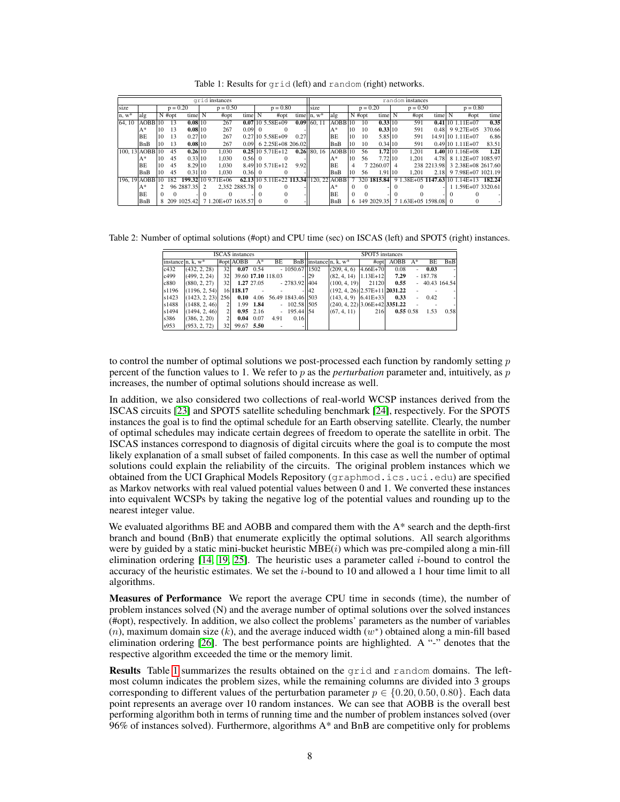| arid instances  |                |    |            |            |                |                                    |                 |  |                             | random instances |               |                      |            |          |             |  |                      |                     |  |                                       |        |
|-----------------|----------------|----|------------|------------|----------------|------------------------------------|-----------------|--|-----------------------------|------------------|---------------|----------------------|------------|----------|-------------|--|----------------------|---------------------|--|---------------------------------------|--------|
| size            |                |    | $p = 0.20$ |            | $p = 0.50$     |                                    | $p = 0.80$      |  | size                        |                  | $p = 0.20$    |                      | $p = 0.50$ |          | $p = 0.80$  |  |                      |                     |  |                                       |        |
| $n, w^*$        | alg            |    | $N$ #opt   | time N     |                | #opt                               | time N          |  | #opt                        | time             | $n, w^*$      | alg                  |            | $N$ #opt | time        |  | #opt                 | time $\overline{N}$ |  | #opt                                  | time   |
| 64.10           | AOBB110        |    | 13         | 0.08 10    |                | 267                                |                 |  | $0.071105.58E+09$           | 0.09             | 60.11         | $AOBB$ 10            |            | 10       | 0.33 10     |  | 591                  |                     |  | $0.41$  10 1.11E+07                   | 0.35   |
|                 | $A^*$          | 10 | 13         | 0.08110    |                | 267                                | $0.091$ 0       |  |                             |                  |               | $A^*$                | 10         | 10       | 0.33 10     |  | 591                  |                     |  | $0.48$   9.27E+05                     | 370.66 |
|                 | BE             | 10 | 13         | 0.27 10    |                | 267                                |                 |  | $0.27 105.58E+09$           | 0.27             |               | BE                   | 10         | 10       | 5.85 10     |  | 591                  |                     |  | 14.91 10 1.11 E+07                    | 6.86   |
|                 | BnB            | 10 | 13         | 0.08110    |                | 267                                | 0.091           |  | 6 2.25E+08 206.02           |                  |               | BnB                  | 10         | 10       | 0.34 10     |  | 591                  |                     |  | $0.49110$ 1.11 E + 07                 | 83.51  |
|                 | 100.13 AOBB 10 |    | 45         | 0.26 10    |                | 1.030                              |                 |  | $0.25 10\;5.71E+12$         |                  | $0.26$ 80, 16 | $AOBB$ <sup>10</sup> |            | 56       | 1.72 10     |  | 1.201                |                     |  | $1.40$ 10 1.16E+08                    | 1.21   |
|                 | $A^*$          | 10 | 45         | 0.33 10    |                | 1.030                              | 0.56 0          |  |                             |                  |               | A*                   | 10         | 56       | 7.72 10     |  | 1.201                |                     |  | 4.78 8 1.12E+07 1085.97               |        |
|                 | <b>BE</b>      | 10 | 45         | 8.29 10    |                | 1.030                              |                 |  | 8.49 10 5.71 E + 12         | 9.92             |               | ΙBΕ                  | 4          |          | 7 2260.07 4 |  |                      | 238 2213.98         |  | 3 2.38E+08 2617.60                    |        |
|                 | BnB            | 10 | 45         | 0.31 10    |                | 1.030                              | 0.36 0          |  |                             |                  |               | BnB                  | 10         | 56       | 1.91 10     |  | 1.201                |                     |  | 2.18 9 7.98E+07 1021.19               |        |
| 196, 19 AOBB 10 |                |    | 182        |            |                | 199.32 10 9.71 E + 06              |                 |  | 62.13 10 5.11 E + 22 113.34 |                  | $120.22$ AOBB |                      |            | 320      | 1815.84     |  |                      |                     |  | 9 1.38E+05 1147.63 10 1.14E+13 182.24 |        |
|                 | $A^*$          |    |            | 96 2887.35 | $\overline{2}$ |                                    | 2.352 2885.78 0 |  |                             |                  |               | $A^*$                |            |          |             |  |                      |                     |  | 1 1.59E+07 3320.61                    |        |
|                 | BE             |    |            |            |                |                                    |                 |  |                             |                  |               | BE                   |            |          |             |  |                      |                     |  |                                       |        |
|                 | BnB            |    |            |            |                | 8 209 1025.42 7 1.20E+07 1635.57 0 |                 |  |                             |                  |               | BnB                  |            |          | 149 2029.35 |  | 7 1.63E+05 1598.08 0 |                     |  |                                       |        |

Table 1: Results for grid (left) and random (right) networks.

Table 2: Number of optimal solutions (#opt) and CPU time (sec) on ISCAS (left) and SPOT5 (right) instances.

|       |                   |                 | <b>ISCAS</b> instances |             |                    |                             | SPOT5 instances |                                       |              |          |                |           |              |  |  |
|-------|-------------------|-----------------|------------------------|-------------|--------------------|-----------------------------|-----------------|---------------------------------------|--------------|----------|----------------|-----------|--------------|--|--|
|       | instance n. k. w* |                 | #opt AOBB              | $A^*$       | BE                 |                             |                 | BnB $\vert$ instance $\vert$ n, k, w* | #opt         | AOBB     | $A^*$          | BE        | BnB          |  |  |
| c432  | (432, 2, 28)      | 32              |                        | $0.07$ 0.54 |                    | $-1050.67$ 1502             |                 | (209, 4, 6)                           | $4.66E + 70$ | 0.08     | $\sim$         | 0.03      | н.           |  |  |
| c499  | (499, 2, 24)      | 32 <sup>1</sup> |                        |             | 39.60 17.10 118.03 |                             | <sup>29</sup>   | (82, 4, 14)                           | $1.13E+12$   | 7.29     |                | $-187.78$ | 니            |  |  |
| c880  | (880, 2, 27)      | 32              |                        | 1.27 27.05  |                    | $-2783.92$   404            |                 | (100, 4, 19)                          | 21120        | 0.55     | $\overline{a}$ |           | 40.43 164.54 |  |  |
| s1196 | (1196, 2, 54)     |                 | 16 118.17              |             |                    |                             | <b>42</b>       | $ (192, 4, 26) 2.57E+11 2031.22$      |              |          |                |           |              |  |  |
| s1423 | (1423, 2, 23)     | 256             |                        |             |                    | 0.10 4.06 56.49 1843.46 503 |                 | $(143, 4, 9)$ $(6.41E+33)$            |              | 0.33     | $\sim$         | 0.42      |              |  |  |
| s1488 | (1488. 2.46)      |                 |                        | 1.99 1.84   |                    | $-102.58$ 505               |                 | $(240, 4, 22)$ 3.06E+42 3351.22       |              |          |                |           |              |  |  |
| s1494 | (1494, 2, 46)     |                 |                        | $0.95$ 2.16 |                    | $-195.44$ 54                |                 | (67, 4, 11)                           | 216          | 0.550.58 |                | 1.53      | 0.58         |  |  |
| s386  | (386, 2, 20)      |                 |                        | $0.04$ 0.07 | 4.91               | 0.16                        |                 |                                       |              |          |                |           |              |  |  |
| s953  | (953, 2, 72)      | 32              | 99.67 5.50             |             |                    |                             |                 |                                       |              |          |                |           |              |  |  |

to control the number of optimal solutions we post-processed each function by randomly setting  $p$ percent of the function values to 1. We refer to p as the *perturbation* parameter and, intuitively, as p increases, the number of optimal solutions should increase as well.

In addition, we also considered two collections of real-world WCSP instances derived from the ISCAS circuits [23] and SPOT5 satellite scheduling benchmark [24], respectively. For the SPOT5 instances the goal is to find the optimal schedule for an Earth observing satellite. Clearly, the number of optimal schedules may indicate certain degrees of freedom to operate the satellite in orbit. The ISCAS instances correspond to diagnosis of digital circuits where the goal is to compute the most likely explanation of a small subset of failed components. In this case as well the number of optimal solutions could explain the reliability of the circuits. The original problem instances which we obtained from the UCI Graphical Models Repository (graphmod.ics.uci.edu) are specified as Markov networks with real valued potential values between 0 and 1. We converted these instances into equivalent WCSPs by taking the negative log of the potential values and rounding up to the nearest integer value.

We evaluated algorithms BE and AOBB and compared them with the A\* search and the depth-first branch and bound (BnB) that enumerate explicitly the optimal solutions. All search algorithms were by guided by a static mini-bucket heuristic  $MBE(i)$  which was pre-compiled along a min-fill elimination ordering [14, 19, 25]. The heuristic uses a parameter called i-bound to control the accuracy of the heuristic estimates. We set the *i*-bound to 10 and allowed a 1 hour time limit to all algorithms.

Measures of Performance We report the average CPU time in seconds (time), the number of problem instances solved (N) and the average number of optimal solutions over the solved instances (#opt), respectively. In addition, we also collect the problems' parameters as the number of variables (n), maximum domain size (k), and the average induced width  $(w^*)$  obtained along a min-fill based elimination ordering  $[26]$ . The best performance points are highlighted. A "-" denotes that the respective algorithm exceeded the time or the memory limit.

Results Table 1 summarizes the results obtained on the grid and random domains. The leftmost column indicates the problem sizes, while the remaining columns are divided into 3 groups corresponding to different values of the perturbation parameter  $p \in \{0.20, 0.50, 0.80\}$ . Each data point represents an average over 10 random instances. We can see that AOBB is the overall best performing algorithm both in terms of running time and the number of problem instances solved (over 96% of instances solved). Furthermore, algorithms A\* and BnB are competitive only for problems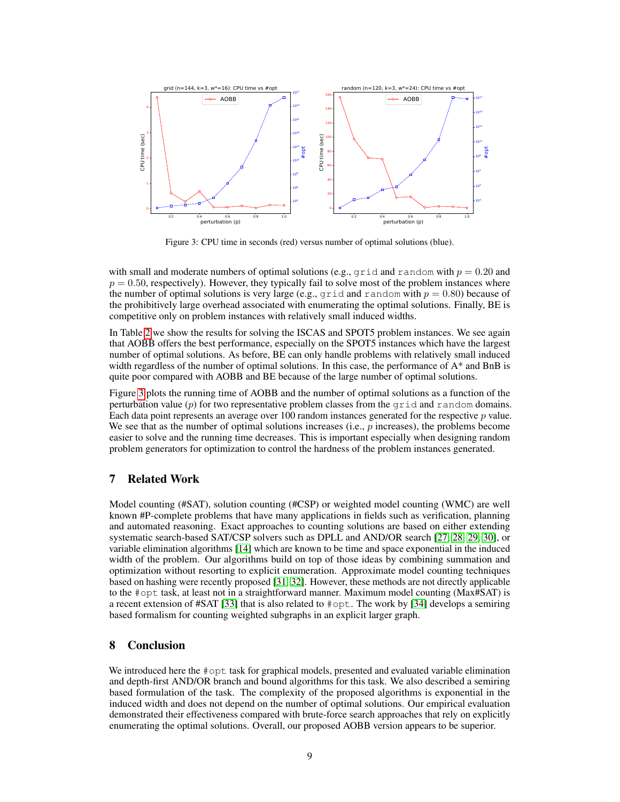

Figure 3: CPU time in seconds (red) versus number of optimal solutions (blue).

with small and moderate numbers of optimal solutions (e.g.,  $qri d$  and random with  $p = 0.20$  and  $p = 0.50$ , respectively). However, they typically fail to solve most of the problem instances where the number of optimal solutions is very large (e.g., grid and random with  $p = 0.80$ ) because of the prohibitively large overhead associated with enumerating the optimal solutions. Finally, BE is competitive only on problem instances with relatively small induced widths.

In Table 2 we show the results for solving the ISCAS and SPOT5 problem instances. We see again that AOBB offers the best performance, especially on the SPOT5 instances which have the largest number of optimal solutions. As before, BE can only handle problems with relatively small induced width regardless of the number of optimal solutions. In this case, the performance of  $A^*$  and BnB is quite poor compared with AOBB and BE because of the large number of optimal solutions.

Figure 3 plots the running time of AOBB and the number of optimal solutions as a function of the perturbation value  $(p)$  for two representative problem classes from the grid and random domains. Each data point represents an average over 100 random instances generated for the respective  $p$  value. We see that as the number of optimal solutions increases (i.e., p increases), the problems become easier to solve and the running time decreases. This is important especially when designing random problem generators for optimization to control the hardness of the problem instances generated.

# 7 Related Work

Model counting (#SAT), solution counting (#CSP) or weighted model counting (WMC) are well known #P-complete problems that have many applications in fields such as verification, planning and automated reasoning. Exact approaches to counting solutions are based on either extending systematic search-based SAT/CSP solvers such as DPLL and AND/OR search [27, 28, 29, 30], or variable elimination algorithms [14] which are known to be time and space exponential in the induced width of the problem. Our algorithms build on top of those ideas by combining summation and optimization without resorting to explicit enumeration. Approximate model counting techniques based on hashing were recently proposed [31, 32]. However, these methods are not directly applicable to the #opt task, at least not in a straightforward manner. Maximum model counting (Max#SAT) is a recent extension of #SAT [33] that is also related to  $\#$ opt. The work by [34] develops a semiring based formalism for counting weighted subgraphs in an explicit larger graph.

# 8 Conclusion

We introduced here the #opt task for graphical models, presented and evaluated variable elimination and depth-first AND/OR branch and bound algorithms for this task. We also described a semiring based formulation of the task. The complexity of the proposed algorithms is exponential in the induced width and does not depend on the number of optimal solutions. Our empirical evaluation demonstrated their effectiveness compared with brute-force search approaches that rely on explicitly enumerating the optimal solutions. Overall, our proposed AOBB version appears to be superior.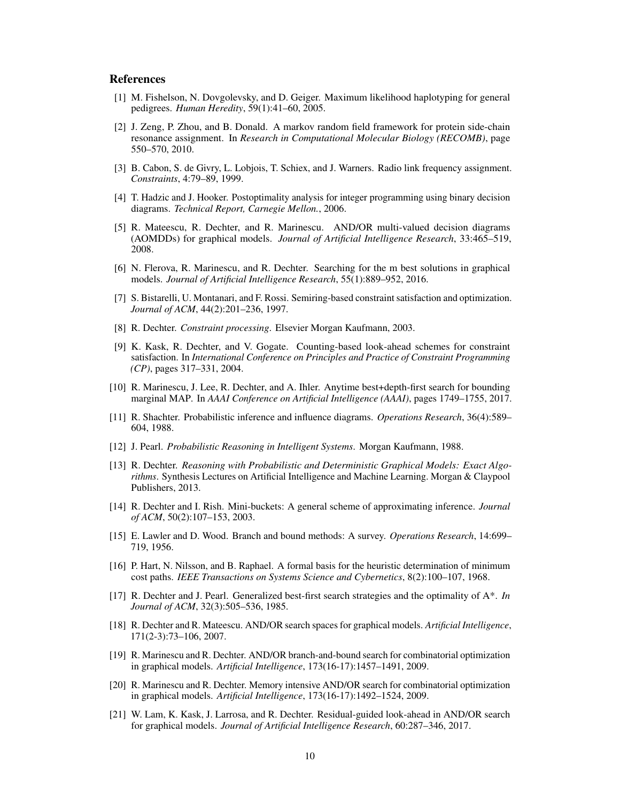## **References**

- [1] M. Fishelson, N. Dovgolevsky, and D. Geiger. Maximum likelihood haplotyping for general pedigrees. *Human Heredity*, 59(1):41–60, 2005.
- [2] J. Zeng, P. Zhou, and B. Donald. A markov random field framework for protein side-chain resonance assignment. In *Research in Computational Molecular Biology (RECOMB)*, page 550–570, 2010.
- [3] B. Cabon, S. de Givry, L. Lobjois, T. Schiex, and J. Warners. Radio link frequency assignment. *Constraints*, 4:79–89, 1999.
- [4] T. Hadzic and J. Hooker. Postoptimality analysis for integer programming using binary decision diagrams. *Technical Report, Carnegie Mellon.*, 2006.
- [5] R. Mateescu, R. Dechter, and R. Marinescu. AND/OR multi-valued decision diagrams (AOMDDs) for graphical models. *Journal of Artificial Intelligence Research*, 33:465–519, 2008.
- [6] N. Flerova, R. Marinescu, and R. Dechter. Searching for the m best solutions in graphical models. *Journal of Artificial Intelligence Research*, 55(1):889–952, 2016.
- [7] S. Bistarelli, U. Montanari, and F. Rossi. Semiring-based constraint satisfaction and optimization. *Journal of ACM*, 44(2):201–236, 1997.
- [8] R. Dechter. *Constraint processing*. Elsevier Morgan Kaufmann, 2003.
- [9] K. Kask, R. Dechter, and V. Gogate. Counting-based look-ahead schemes for constraint satisfaction. In *International Conference on Principles and Practice of Constraint Programming (CP)*, pages 317–331, 2004.
- [10] R. Marinescu, J. Lee, R. Dechter, and A. Ihler. Anytime best+depth-first search for bounding marginal MAP. In *AAAI Conference on Artificial Intelligence (AAAI)*, pages 1749–1755, 2017.
- [11] R. Shachter. Probabilistic inference and influence diagrams. *Operations Research*, 36(4):589– 604, 1988.
- [12] J. Pearl. *Probabilistic Reasoning in Intelligent Systems*. Morgan Kaufmann, 1988.
- [13] R. Dechter. *Reasoning with Probabilistic and Deterministic Graphical Models: Exact Algorithms*. Synthesis Lectures on Artificial Intelligence and Machine Learning. Morgan & Claypool Publishers, 2013.
- [14] R. Dechter and I. Rish. Mini-buckets: A general scheme of approximating inference. *Journal of ACM*, 50(2):107–153, 2003.
- [15] E. Lawler and D. Wood. Branch and bound methods: A survey. *Operations Research*, 14:699– 719, 1956.
- [16] P. Hart, N. Nilsson, and B. Raphael. A formal basis for the heuristic determination of minimum cost paths. *IEEE Transactions on Systems Science and Cybernetics*, 8(2):100–107, 1968.
- [17] R. Dechter and J. Pearl. Generalized best-first search strategies and the optimality of A\*. *In Journal of ACM*, 32(3):505–536, 1985.
- [18] R. Dechter and R. Mateescu. AND/OR search spaces for graphical models. *Artificial Intelligence*, 171(2-3):73–106, 2007.
- [19] R. Marinescu and R. Dechter. AND/OR branch-and-bound search for combinatorial optimization in graphical models. *Artificial Intelligence*, 173(16-17):1457–1491, 2009.
- [20] R. Marinescu and R. Dechter. Memory intensive AND/OR search for combinatorial optimization in graphical models. *Artificial Intelligence*, 173(16-17):1492–1524, 2009.
- [21] W. Lam, K. Kask, J. Larrosa, and R. Dechter. Residual-guided look-ahead in AND/OR search for graphical models. *Journal of Artificial Intelligence Research*, 60:287–346, 2017.